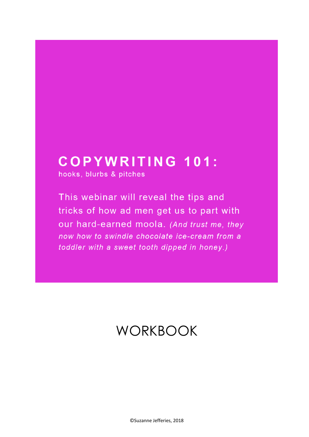# **COPYWRITING 101:**

hooks, blurbs & pitches

This webinar will reveal the tips and tricks of how ad men get us to part with our hard-earned moola. (And trust me, they now how to swindle chocolate ice-cream from a toddler with a sweet tooth dipped in honey.)

# **WORKBOOK**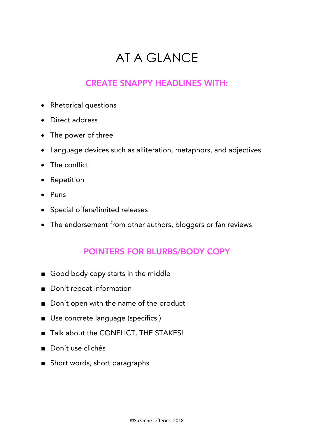# AT A GLANCE

### CREATE SNAPPY HEADLINES WITH:

- Rhetorical questions
- Direct address
- The power of three
- Language devices such as alliteration, metaphors, and adjectives
- The conflict
- Repetition
- Puns
- Special offers/limited releases
- The endorsement from other authors, bloggers or fan reviews

### POINTERS FOR BLURBS/BODY COPY

- Good body copy starts in the middle
- Don't repeat information
- Don't open with the name of the product
- Use concrete language (specifics!)
- Talk about the CONFLICT, THE STAKES!
- Don't use clichés
- Short words, short paragraphs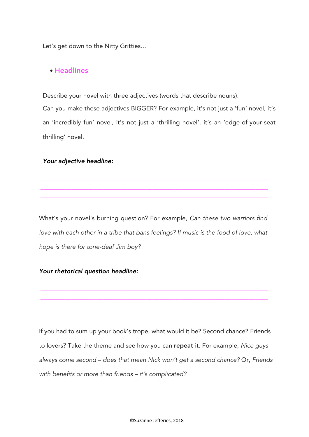Let's get down to the Nitty Gritties…

### • Headlines

Describe your novel with three adjectives (words that describe nouns).

Can you make these adjectives BIGGER? For example, it's not just a 'fun' novel, it's an 'incredibly fun' novel, it's not just a 'thrilling novel', it's an 'edge-of-your-seat thrilling' novel.

#### *Your adjective headline:*

What's your novel's burning question? For example, *Can these two warriors find*  love with each other in a tribe that bans feelings? If music is the food of love, what *hope is there for tone-deaf Jim boy?*

\_\_\_\_\_\_\_\_\_\_\_\_\_\_\_\_\_\_\_\_\_\_\_\_\_\_\_\_\_\_\_\_\_\_\_\_\_\_\_\_\_\_\_\_\_\_\_\_\_\_\_\_\_\_\_\_\_\_\_\_\_\_\_\_\_\_\_\_\_\_\_\_\_ \_\_\_\_\_\_\_\_\_\_\_\_\_\_\_\_\_\_\_\_\_\_\_\_\_\_\_\_\_\_\_\_\_\_\_\_\_\_\_\_\_\_\_\_\_\_\_\_\_\_\_\_\_\_\_\_\_\_\_\_\_\_\_\_\_\_\_\_\_\_\_\_\_ \_\_\_\_\_\_\_\_\_\_\_\_\_\_\_\_\_\_\_\_\_\_\_\_\_\_\_\_\_\_\_\_\_\_\_\_\_\_\_\_\_\_\_\_\_\_\_\_\_\_\_\_\_\_\_\_\_\_\_\_\_\_\_\_\_\_\_\_\_\_\_\_\_

\_\_\_\_\_\_\_\_\_\_\_\_\_\_\_\_\_\_\_\_\_\_\_\_\_\_\_\_\_\_\_\_\_\_\_\_\_\_\_\_\_\_\_\_\_\_\_\_\_\_\_\_\_\_\_\_\_\_\_\_\_\_\_\_\_\_\_\_\_\_\_\_\_ \_\_\_\_\_\_\_\_\_\_\_\_\_\_\_\_\_\_\_\_\_\_\_\_\_\_\_\_\_\_\_\_\_\_\_\_\_\_\_\_\_\_\_\_\_\_\_\_\_\_\_\_\_\_\_\_\_\_\_\_\_\_\_\_\_\_\_\_\_\_\_\_\_ \_\_\_\_\_\_\_\_\_\_\_\_\_\_\_\_\_\_\_\_\_\_\_\_\_\_\_\_\_\_\_\_\_\_\_\_\_\_\_\_\_\_\_\_\_\_\_\_\_\_\_\_\_\_\_\_\_\_\_\_\_\_\_\_\_\_\_\_\_\_\_\_\_

#### *Your rhetorical question headline:*

If you had to sum up your book's trope, what would it be? Second chance? Friends to lovers? Take the theme and see how you can repeat it. For example, *Nice guys always come second – does that mean Nick won't get a second chance?* Or, *Friends with benefits or more than friends – it's complicated?*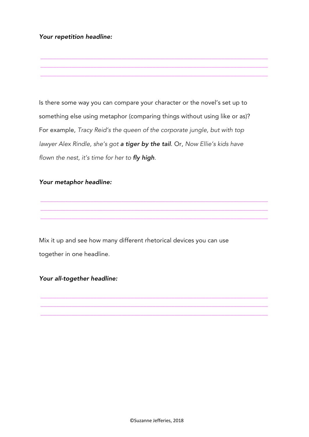#### *Your repetition headline:*

Is there some way you can compare your character or the novel's set up to something else using metaphor (comparing things without using like or as)? For example, *Tracy Reid's the queen of the corporate jungle, but with top lawyer Alex Rindle, she's got a tiger by the tail*. Or, *Now Ellie's kids have flown the nest, it's time for her to fly high.*

\_\_\_\_\_\_\_\_\_\_\_\_\_\_\_\_\_\_\_\_\_\_\_\_\_\_\_\_\_\_\_\_\_\_\_\_\_\_\_\_\_\_\_\_\_\_\_\_\_\_\_\_\_\_\_\_\_\_\_\_\_\_\_\_\_\_\_\_\_\_\_\_\_ \_\_\_\_\_\_\_\_\_\_\_\_\_\_\_\_\_\_\_\_\_\_\_\_\_\_\_\_\_\_\_\_\_\_\_\_\_\_\_\_\_\_\_\_\_\_\_\_\_\_\_\_\_\_\_\_\_\_\_\_\_\_\_\_\_\_\_\_\_\_\_\_\_ \_\_\_\_\_\_\_\_\_\_\_\_\_\_\_\_\_\_\_\_\_\_\_\_\_\_\_\_\_\_\_\_\_\_\_\_\_\_\_\_\_\_\_\_\_\_\_\_\_\_\_\_\_\_\_\_\_\_\_\_\_\_\_\_\_\_\_\_\_\_\_\_\_

\_\_\_\_\_\_\_\_\_\_\_\_\_\_\_\_\_\_\_\_\_\_\_\_\_\_\_\_\_\_\_\_\_\_\_\_\_\_\_\_\_\_\_\_\_\_\_\_\_\_\_\_\_\_\_\_\_\_\_\_\_\_\_\_\_\_\_\_\_\_\_\_\_ \_\_\_\_\_\_\_\_\_\_\_\_\_\_\_\_\_\_\_\_\_\_\_\_\_\_\_\_\_\_\_\_\_\_\_\_\_\_\_\_\_\_\_\_\_\_\_\_\_\_\_\_\_\_\_\_\_\_\_\_\_\_\_\_\_\_\_\_\_\_\_\_\_ \_\_\_\_\_\_\_\_\_\_\_\_\_\_\_\_\_\_\_\_\_\_\_\_\_\_\_\_\_\_\_\_\_\_\_\_\_\_\_\_\_\_\_\_\_\_\_\_\_\_\_\_\_\_\_\_\_\_\_\_\_\_\_\_\_\_\_\_\_\_\_\_\_

\_\_\_\_\_\_\_\_\_\_\_\_\_\_\_\_\_\_\_\_\_\_\_\_\_\_\_\_\_\_\_\_\_\_\_\_\_\_\_\_\_\_\_\_\_\_\_\_\_\_\_\_\_\_\_\_\_\_\_\_\_\_\_\_\_\_\_\_\_\_\_\_\_ \_\_\_\_\_\_\_\_\_\_\_\_\_\_\_\_\_\_\_\_\_\_\_\_\_\_\_\_\_\_\_\_\_\_\_\_\_\_\_\_\_\_\_\_\_\_\_\_\_\_\_\_\_\_\_\_\_\_\_\_\_\_\_\_\_\_\_\_\_\_\_\_\_ \_\_\_\_\_\_\_\_\_\_\_\_\_\_\_\_\_\_\_\_\_\_\_\_\_\_\_\_\_\_\_\_\_\_\_\_\_\_\_\_\_\_\_\_\_\_\_\_\_\_\_\_\_\_\_\_\_\_\_\_\_\_\_\_\_\_\_\_\_\_\_\_\_

#### *Your metaphor headline:*

Mix it up and see how many different rhetorical devices you can use together in one headline*.*

### *Your all-together headline:*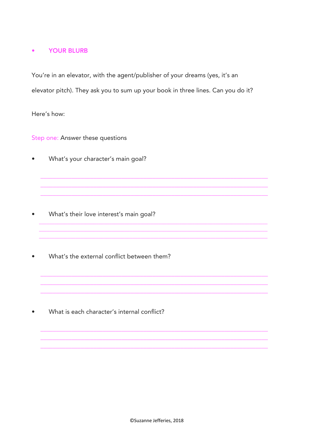#### **YOUR BLURB**  $\bullet$

You're in an elevator, with the agent/publisher of your dreams (yes, it's an elevator pitch). They ask you to sum up your book in three lines. Can you do it?

Here's how:

Step one: Answer these questions

What's your character's main goal?  $\bullet$ 

- What's their love interest's main goal?  $\bullet$
- What's the external conflict between them?

What is each character's internal conflict?  $\bullet$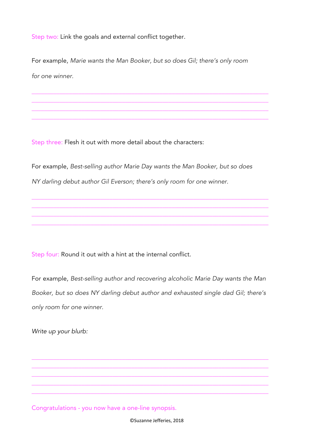Step two: Link the goals and external conflict together.

For example, *Marie wants the Man Booker, but so does Gil; there's only room for one winner.*

\_\_\_\_\_\_\_\_\_\_\_\_\_\_\_\_\_\_\_\_\_\_\_\_\_\_\_\_\_\_\_\_\_\_\_\_\_\_\_\_\_\_\_\_\_\_\_\_\_\_\_\_\_\_\_\_\_\_\_\_\_\_\_\_\_\_\_\_\_\_\_\_\_\_\_\_ \_\_\_\_\_\_\_\_\_\_\_\_\_\_\_\_\_\_\_\_\_\_\_\_\_\_\_\_\_\_\_\_\_\_\_\_\_\_\_\_\_\_\_\_\_\_\_\_\_\_\_\_\_\_\_\_\_\_\_\_\_\_\_\_\_\_\_\_\_\_\_\_\_\_\_\_ \_\_\_\_\_\_\_\_\_\_\_\_\_\_\_\_\_\_\_\_\_\_\_\_\_\_\_\_\_\_\_\_\_\_\_\_\_\_\_\_\_\_\_\_\_\_\_\_\_\_\_\_\_\_\_\_\_\_\_\_\_\_\_\_\_\_\_\_\_\_\_\_\_\_\_\_ \_\_\_\_\_\_\_\_\_\_\_\_\_\_\_\_\_\_\_\_\_\_\_\_\_\_\_\_\_\_\_\_\_\_\_\_\_\_\_\_\_\_\_\_\_\_\_\_\_\_\_\_\_\_\_\_\_\_\_\_\_\_\_\_\_\_\_\_\_\_\_\_\_\_\_\_

Step three: Flesh it out with more detail about the characters:

For example, *Best-selling author Marie Day wants the Man Booker, but so does NY darling debut author Gil Everson; there's only room for one winner.*

\_\_\_\_\_\_\_\_\_\_\_\_\_\_\_\_\_\_\_\_\_\_\_\_\_\_\_\_\_\_\_\_\_\_\_\_\_\_\_\_\_\_\_\_\_\_\_\_\_\_\_\_\_\_\_\_\_\_\_\_\_\_\_\_\_\_\_\_\_\_\_\_\_\_\_\_ \_\_\_\_\_\_\_\_\_\_\_\_\_\_\_\_\_\_\_\_\_\_\_\_\_\_\_\_\_\_\_\_\_\_\_\_\_\_\_\_\_\_\_\_\_\_\_\_\_\_\_\_\_\_\_\_\_\_\_\_\_\_\_\_\_\_\_\_\_\_\_\_\_\_\_\_ \_\_\_\_\_\_\_\_\_\_\_\_\_\_\_\_\_\_\_\_\_\_\_\_\_\_\_\_\_\_\_\_\_\_\_\_\_\_\_\_\_\_\_\_\_\_\_\_\_\_\_\_\_\_\_\_\_\_\_\_\_\_\_\_\_\_\_\_\_\_\_\_\_\_\_\_ \_\_\_\_\_\_\_\_\_\_\_\_\_\_\_\_\_\_\_\_\_\_\_\_\_\_\_\_\_\_\_\_\_\_\_\_\_\_\_\_\_\_\_\_\_\_\_\_\_\_\_\_\_\_\_\_\_\_\_\_\_\_\_\_\_\_\_\_\_\_\_\_\_\_\_\_

Step four: Round it out with a hint at the internal conflict.

For example, *Best-selling author and recovering alcoholic Marie Day wants the Man Booker, but so does NY darling debut author and exhausted single dad Gil; there's only room for one winner.*

\_\_\_\_\_\_\_\_\_\_\_\_\_\_\_\_\_\_\_\_\_\_\_\_\_\_\_\_\_\_\_\_\_\_\_\_\_\_\_\_\_\_\_\_\_\_\_\_\_\_\_\_\_\_\_\_\_\_\_\_\_\_\_\_\_\_\_\_\_\_\_\_\_\_\_\_ \_\_\_\_\_\_\_\_\_\_\_\_\_\_\_\_\_\_\_\_\_\_\_\_\_\_\_\_\_\_\_\_\_\_\_\_\_\_\_\_\_\_\_\_\_\_\_\_\_\_\_\_\_\_\_\_\_\_\_\_\_\_\_\_\_\_\_\_\_\_\_\_\_\_\_\_ \_\_\_\_\_\_\_\_\_\_\_\_\_\_\_\_\_\_\_\_\_\_\_\_\_\_\_\_\_\_\_\_\_\_\_\_\_\_\_\_\_\_\_\_\_\_\_\_\_\_\_\_\_\_\_\_\_\_\_\_\_\_\_\_\_\_\_\_\_\_\_\_\_\_\_\_ \_\_\_\_\_\_\_\_\_\_\_\_\_\_\_\_\_\_\_\_\_\_\_\_\_\_\_\_\_\_\_\_\_\_\_\_\_\_\_\_\_\_\_\_\_\_\_\_\_\_\_\_\_\_\_\_\_\_\_\_\_\_\_\_\_\_\_\_\_\_\_\_\_\_\_\_ \_\_\_\_\_\_\_\_\_\_\_\_\_\_\_\_\_\_\_\_\_\_\_\_\_\_\_\_\_\_\_\_\_\_\_\_\_\_\_\_\_\_\_\_\_\_\_\_\_\_\_\_\_\_\_\_\_\_\_\_\_\_\_\_\_\_\_\_\_\_\_\_\_\_\_\_

*Write up your blurb:*

Congratulations - you now have a one-line synopsis.

©Suzanne Jefferies, 2018